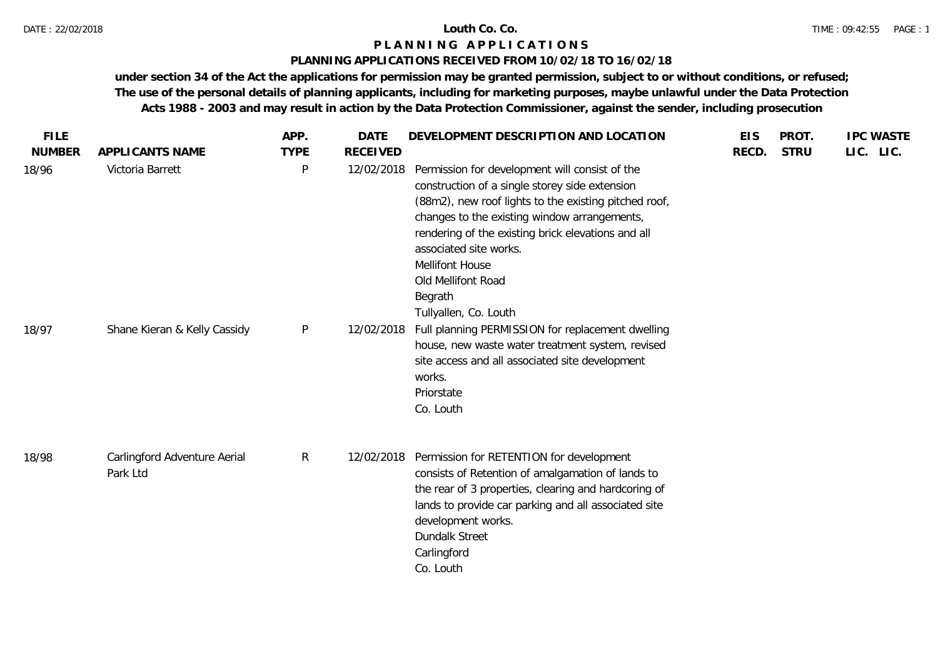#### **PLANNING APPLICATIONS RECEIVED FROM 10/02/18 TO 16/02/18**

| <b>FILE</b>   |                                          | APP.         | <b>DATE</b>     | DEVELOPMENT DESCRIPTION AND LOCATION                                                                                                                                                                                                                                                                                                                                          | <b>EIS</b> | PROT.       | <b>IPC WASTE</b> |  |
|---------------|------------------------------------------|--------------|-----------------|-------------------------------------------------------------------------------------------------------------------------------------------------------------------------------------------------------------------------------------------------------------------------------------------------------------------------------------------------------------------------------|------------|-------------|------------------|--|
| <b>NUMBER</b> | APPLICANTS NAME                          | <b>TYPE</b>  | <b>RECEIVED</b> |                                                                                                                                                                                                                                                                                                                                                                               | RECD.      | <b>STRU</b> | LIC. LIC.        |  |
| 18/96         | Victoria Barrett                         | P            | 12/02/2018      | Permission for development will consist of the<br>construction of a single storey side extension<br>(88m2), new roof lights to the existing pitched roof,<br>changes to the existing window arrangements,<br>rendering of the existing brick elevations and all<br>associated site works.<br><b>Mellifont House</b><br>Old Mellifont Road<br>Begrath<br>Tullyallen, Co. Louth |            |             |                  |  |
| 18/97         | Shane Kieran & Kelly Cassidy             | $\mathsf{P}$ | 12/02/2018      | Full planning PERMISSION for replacement dwelling<br>house, new waste water treatment system, revised<br>site access and all associated site development<br>works.<br>Priorstate<br>Co. Louth                                                                                                                                                                                 |            |             |                  |  |
| 18/98         | Carlingford Adventure Aerial<br>Park Ltd | $\mathsf{R}$ | 12/02/2018      | Permission for RETENTION for development<br>consists of Retention of amalgamation of lands to<br>the rear of 3 properties, clearing and hardcoring of<br>lands to provide car parking and all associated site<br>development works.<br>Dundalk Street<br>Carlingford<br>Co. Louth                                                                                             |            |             |                  |  |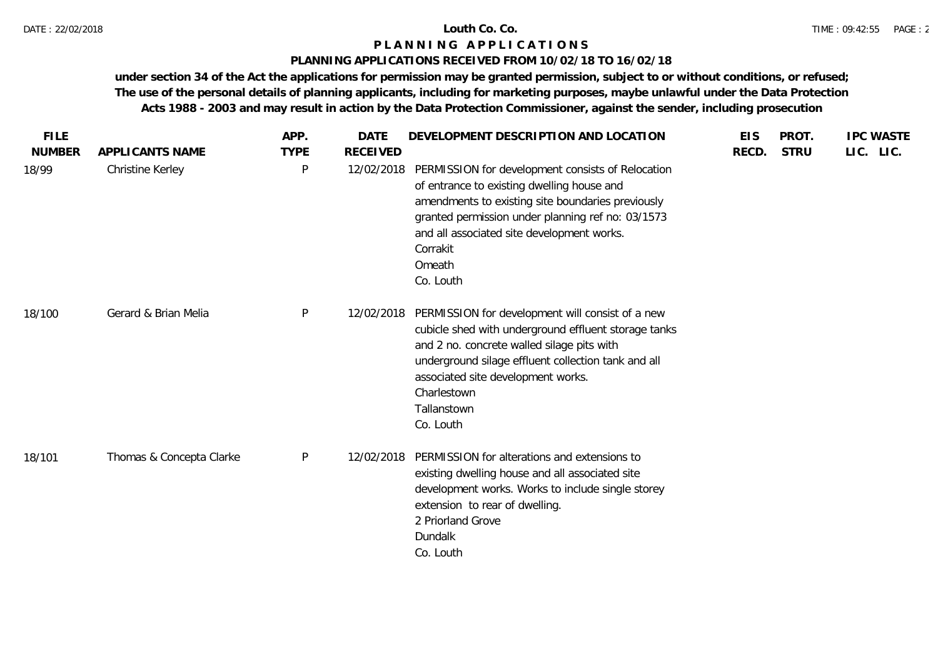### **PLANNING APPLICATIONS RECEIVED FROM 10/02/18 TO 16/02/18**

| <b>FILE</b><br><b>NUMBER</b> | APPLICANTS NAME          | APP.<br><b>TYPE</b> | <b>DATE</b><br><b>RECEIVED</b> | DEVELOPMENT DESCRIPTION AND LOCATION                                                                                                                                                                                                                                                           | <b>EIS</b><br>RECD. | PROT.<br><b>STRU</b> | <b>IPC WASTE</b><br>LIC. LIC. |
|------------------------------|--------------------------|---------------------|--------------------------------|------------------------------------------------------------------------------------------------------------------------------------------------------------------------------------------------------------------------------------------------------------------------------------------------|---------------------|----------------------|-------------------------------|
| 18/99                        | Christine Kerley         | $\mathsf{P}$        | 12/02/2018                     | PERMISSION for development consists of Relocation<br>of entrance to existing dwelling house and<br>amendments to existing site boundaries previously<br>granted permission under planning ref no: 03/1573<br>and all associated site development works.<br>Corrakit<br>Omeath<br>Co. Louth     |                     |                      |                               |
| 18/100                       | Gerard & Brian Melia     | P                   | 12/02/2018                     | PERMISSION for development will consist of a new<br>cubicle shed with underground effluent storage tanks<br>and 2 no. concrete walled silage pits with<br>underground silage effluent collection tank and all<br>associated site development works.<br>Charlestown<br>Tallanstown<br>Co. Louth |                     |                      |                               |
| 18/101                       | Thomas & Concepta Clarke | $\mathsf{P}$        | 12/02/2018                     | PERMISSION for alterations and extensions to<br>existing dwelling house and all associated site<br>development works. Works to include single storey<br>extension to rear of dwelling.<br>2 Priorland Grove<br>Dundalk<br>Co. Louth                                                            |                     |                      |                               |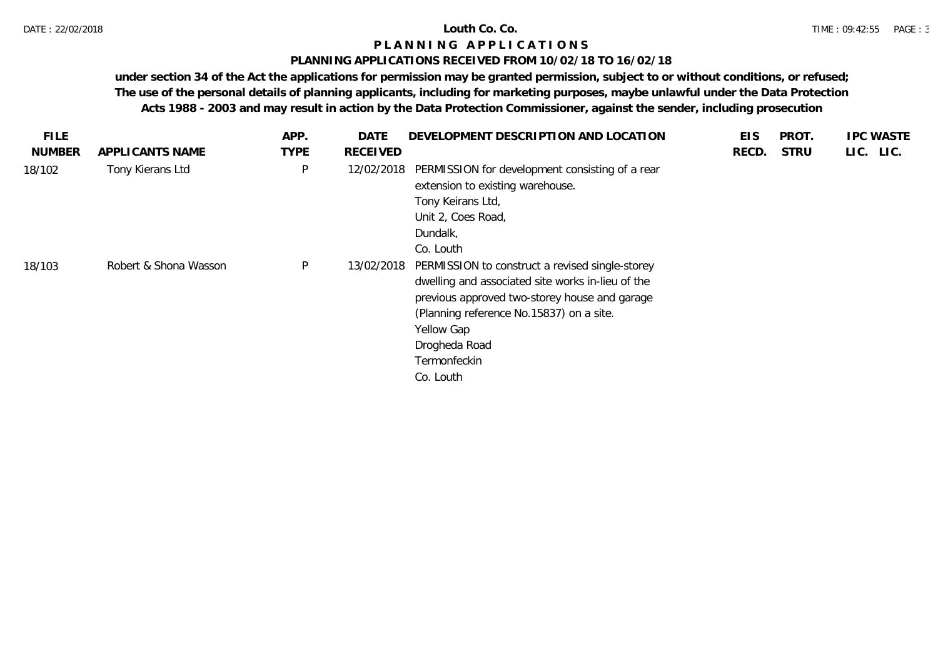### **PLANNING APPLICATIONS RECEIVED FROM 10/02/18 TO 16/02/18**

| FILE.         |                       | APP.        | DATE            | DEVELOPMENT DESCRIPTION AND LOCATION                                                                                                                                                                                                                          | <b>EIS</b> | PROT.       | <b>IPC WASTE</b> |
|---------------|-----------------------|-------------|-----------------|---------------------------------------------------------------------------------------------------------------------------------------------------------------------------------------------------------------------------------------------------------------|------------|-------------|------------------|
| <b>NUMBER</b> | APPLICANTS NAME       | <b>TYPE</b> | <b>RECEIVED</b> |                                                                                                                                                                                                                                                               | RECD.      | <b>STRU</b> | LIC. LIC.        |
| 18/102        | Tony Kierans Ltd      | P           | 12/02/2018      | PERMISSION for development consisting of a rear<br>extension to existing warehouse.<br>Tony Keirans Ltd,<br>Unit 2, Coes Road,<br>Dundalk,<br>Co. Louth                                                                                                       |            |             |                  |
| 18/103        | Robert & Shona Wasson | P           | 13/02/2018      | PERMISSION to construct a revised single-storey<br>dwelling and associated site works in-lieu of the<br>previous approved two-storey house and garage<br>(Planning reference No.15837) on a site.<br>Yellow Gap<br>Drogheda Road<br>Termonfeckin<br>Co. Louth |            |             |                  |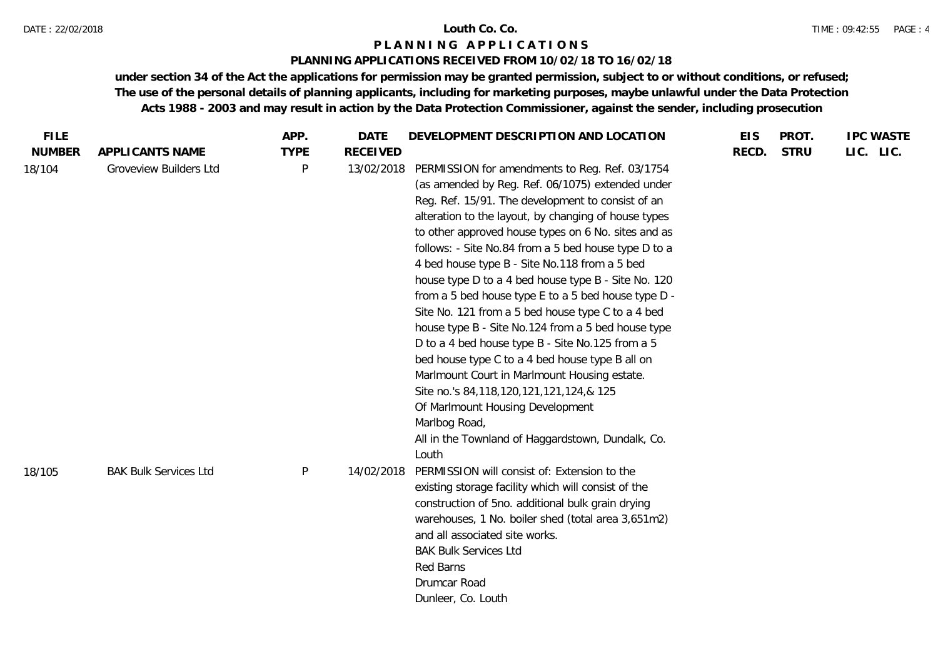#### DATE : 22/02/2018 **Louth Co. Co.**

#### **P L A N N I N G A P P L I C A T I O N S**

### **PLANNING APPLICATIONS RECEIVED FROM 10/02/18 TO 16/02/18**

| <b>STRU</b><br>LIC. LIC. |
|--------------------------|
|                          |
|                          |
|                          |
|                          |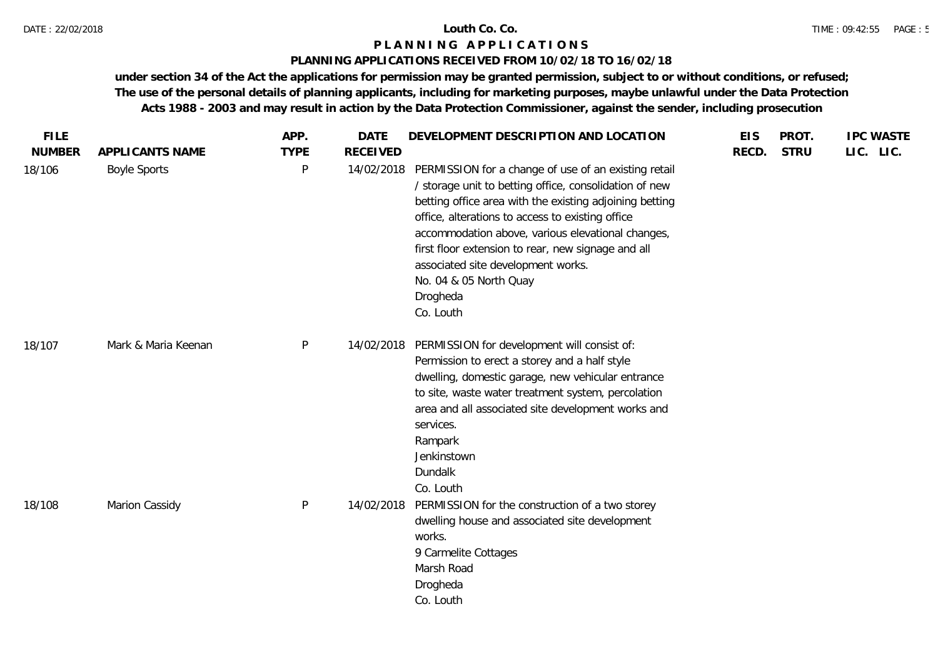## **PLANNING APPLICATIONS RECEIVED FROM 10/02/18 TO 16/02/18**

| <b>FILE</b>   |                     | APP.         | <b>DATE</b>     | DEVELOPMENT DESCRIPTION AND LOCATION                                                                                                                                                                                                                                                                                                                                                                                              | <b>EIS</b> | PROT.       | <b>IPC WASTE</b> |
|---------------|---------------------|--------------|-----------------|-----------------------------------------------------------------------------------------------------------------------------------------------------------------------------------------------------------------------------------------------------------------------------------------------------------------------------------------------------------------------------------------------------------------------------------|------------|-------------|------------------|
| <b>NUMBER</b> | APPLICANTS NAME     | <b>TYPE</b>  | <b>RECEIVED</b> |                                                                                                                                                                                                                                                                                                                                                                                                                                   | RECD.      | <b>STRU</b> | LIC. LIC.        |
| 18/106        | <b>Boyle Sports</b> | P            | 14/02/2018      | PERMISSION for a change of use of an existing retail<br>/ storage unit to betting office, consolidation of new<br>betting office area with the existing adjoining betting<br>office, alterations to access to existing office<br>accommodation above, various elevational changes,<br>first floor extension to rear, new signage and all<br>associated site development works.<br>No. 04 & 05 North Quay<br>Drogheda<br>Co. Louth |            |             |                  |
| 18/107        | Mark & Maria Keenan | $\mathsf{P}$ | 14/02/2018      | PERMISSION for development will consist of:<br>Permission to erect a storey and a half style<br>dwelling, domestic garage, new vehicular entrance<br>to site, waste water treatment system, percolation<br>area and all associated site development works and<br>services.<br>Rampark<br>Jenkinstown<br>Dundalk<br>Co. Louth                                                                                                      |            |             |                  |
| 18/108        | Marion Cassidy      | $\mathsf{P}$ | 14/02/2018      | PERMISSION for the construction of a two storey<br>dwelling house and associated site development<br>works.<br>9 Carmelite Cottages<br>Marsh Road<br>Drogheda<br>Co. Louth                                                                                                                                                                                                                                                        |            |             |                  |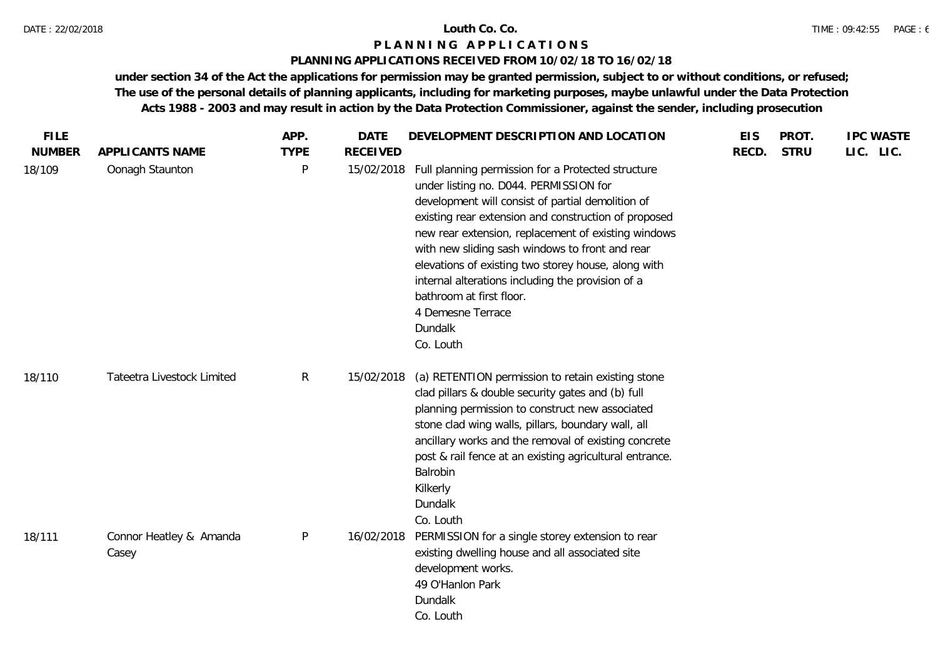## **PLANNING APPLICATIONS RECEIVED FROM 10/02/18 TO 16/02/18**

| <b>FILE</b><br><b>NUMBER</b> | APPLICANTS NAME                  | APP.<br><b>TYPE</b> | <b>DATE</b><br><b>RECEIVED</b> | DEVELOPMENT DESCRIPTION AND LOCATION                                                                                                                                                                                                                                                                                                                                                                                                                                                                     | <b>EIS</b><br>RECD. | PROT.<br><b>STRU</b> | <b>IPC WASTE</b><br>LIC. LIC. |
|------------------------------|----------------------------------|---------------------|--------------------------------|----------------------------------------------------------------------------------------------------------------------------------------------------------------------------------------------------------------------------------------------------------------------------------------------------------------------------------------------------------------------------------------------------------------------------------------------------------------------------------------------------------|---------------------|----------------------|-------------------------------|
| 18/109                       | Oonagh Staunton                  | P                   | 15/02/2018                     | Full planning permission for a Protected structure<br>under listing no. D044. PERMISSION for<br>development will consist of partial demolition of<br>existing rear extension and construction of proposed<br>new rear extension, replacement of existing windows<br>with new sliding sash windows to front and rear<br>elevations of existing two storey house, along with<br>internal alterations including the provision of a<br>bathroom at first floor.<br>4 Demesne Terrace<br>Dundalk<br>Co. Louth |                     |                      |                               |
| 18/110                       | Tateetra Livestock Limited       | $\mathsf{R}$        | 15/02/2018                     | (a) RETENTION permission to retain existing stone<br>clad pillars & double security gates and (b) full<br>planning permission to construct new associated<br>stone clad wing walls, pillars, boundary wall, all<br>ancillary works and the removal of existing concrete<br>post & rail fence at an existing agricultural entrance.<br>Balrobin<br>Kilkerly<br>Dundalk<br>Co. Louth                                                                                                                       |                     |                      |                               |
| 18/111                       | Connor Heatley & Amanda<br>Casey | P                   | 16/02/2018                     | PERMISSION for a single storey extension to rear<br>existing dwelling house and all associated site<br>development works.<br>49 O'Hanlon Park<br>Dundalk<br>Co. Louth                                                                                                                                                                                                                                                                                                                                    |                     |                      |                               |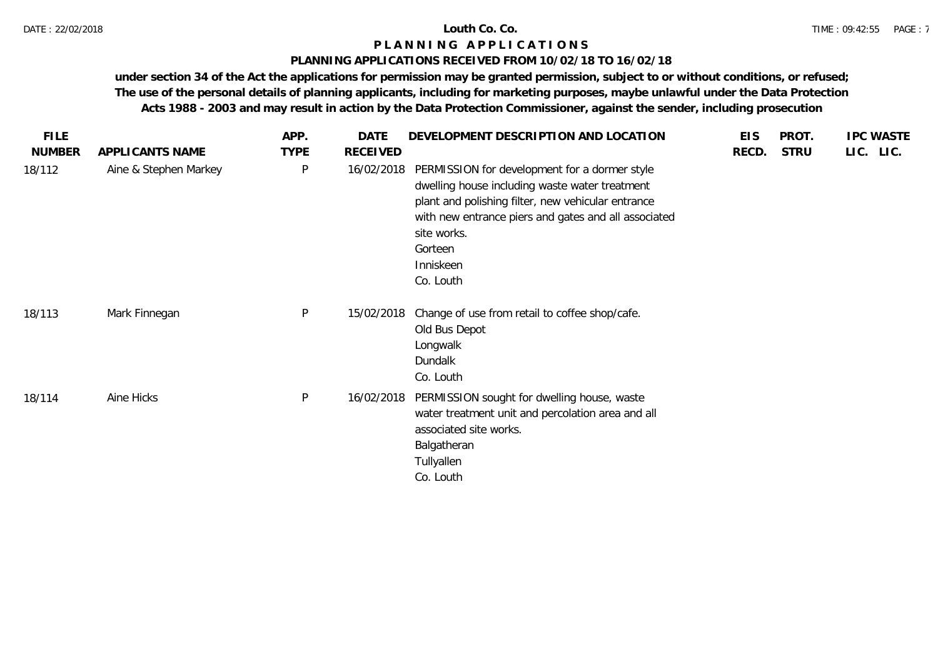### **PLANNING APPLICATIONS RECEIVED FROM 10/02/18 TO 16/02/18**

| <b>FILE</b>   |                       | APP.         | <b>DATE</b>     | DEVELOPMENT DESCRIPTION AND LOCATION                                                                                                                                                                                                                              | <b>EIS</b> | PROT.       | <b>IPC WASTE</b> |
|---------------|-----------------------|--------------|-----------------|-------------------------------------------------------------------------------------------------------------------------------------------------------------------------------------------------------------------------------------------------------------------|------------|-------------|------------------|
| <b>NUMBER</b> | APPLICANTS NAME       | <b>TYPE</b>  | <b>RECEIVED</b> |                                                                                                                                                                                                                                                                   | RECD.      | <b>STRU</b> | LIC. LIC.        |
| 18/112        | Aine & Stephen Markey | P            | 16/02/2018      | PERMISSION for development for a dormer style<br>dwelling house including waste water treatment<br>plant and polishing filter, new vehicular entrance<br>with new entrance piers and gates and all associated<br>site works.<br>Gorteen<br>Inniskeen<br>Co. Louth |            |             |                  |
| 18/113        | Mark Finnegan         | $\mathsf{P}$ | 15/02/2018      | Change of use from retail to coffee shop/cafe.<br>Old Bus Depot<br>Longwalk<br>Dundalk<br>Co. Louth                                                                                                                                                               |            |             |                  |
| 18/114        | Aine Hicks            | $\sf P$      | 16/02/2018      | PERMISSION sought for dwelling house, waste<br>water treatment unit and percolation area and all<br>associated site works.<br>Balgatheran<br>Tullyallen<br>Co. Louth                                                                                              |            |             |                  |